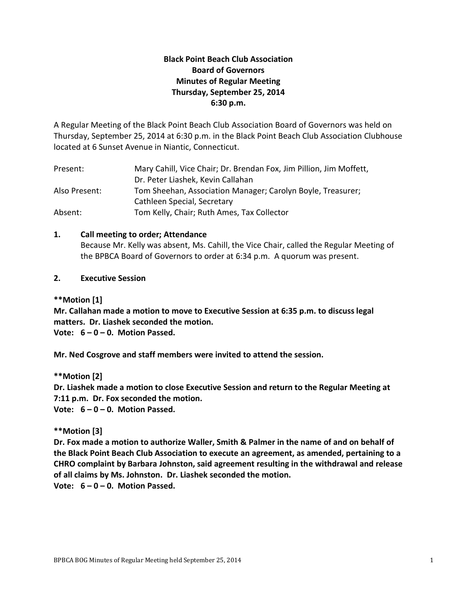# **Black Point Beach Club Association Board of Governors Minutes of Regular Meeting Thursday, September 25, 2014 6:30 p.m.**

A Regular Meeting of the Black Point Beach Club Association Board of Governors was held on Thursday, September 25, 2014 at 6:30 p.m. in the Black Point Beach Club Association Clubhouse located at 6 Sunset Avenue in Niantic, Connecticut.

| Present:      | Mary Cahill, Vice Chair; Dr. Brendan Fox, Jim Pillion, Jim Moffett, |  |  |
|---------------|---------------------------------------------------------------------|--|--|
|               | Dr. Peter Liashek, Kevin Callahan                                   |  |  |
| Also Present: | Tom Sheehan, Association Manager; Carolyn Boyle, Treasurer;         |  |  |
|               | Cathleen Special, Secretary                                         |  |  |
| Absent:       | Tom Kelly, Chair; Ruth Ames, Tax Collector                          |  |  |

# **1. Call meeting to order; Attendance**

Because Mr. Kelly was absent, Ms. Cahill, the Vice Chair, called the Regular Meeting of the BPBCA Board of Governors to order at 6:34 p.m. A quorum was present.

# **2. Executive Session**

**\*\*Motion [1]**

**Mr. Callahan made a motion to move to Executive Session at 6:35 p.m. to discuss legal matters. Dr. Liashek seconded the motion.** 

**Vote: 6 – 0 – 0. Motion Passed.**

**Mr. Ned Cosgrove and staff members were invited to attend the session.**

**\*\*Motion [2] Dr. Liashek made a motion to close Executive Session and return to the Regular Meeting at 7:11 p.m. Dr. Fox seconded the motion. Vote: 6 – 0 – 0. Motion Passed.**

# **\*\*Motion [3]**

**Dr. Fox made a motion to authorize Waller, Smith & Palmer in the name of and on behalf of the Black Point Beach Club Association to execute an agreement, as amended, pertaining to a CHRO complaint by Barbara Johnston, said agreement resulting in the withdrawal and release of all claims by Ms. Johnston. Dr. Liashek seconded the motion. Vote: 6 – 0 – 0. Motion Passed.**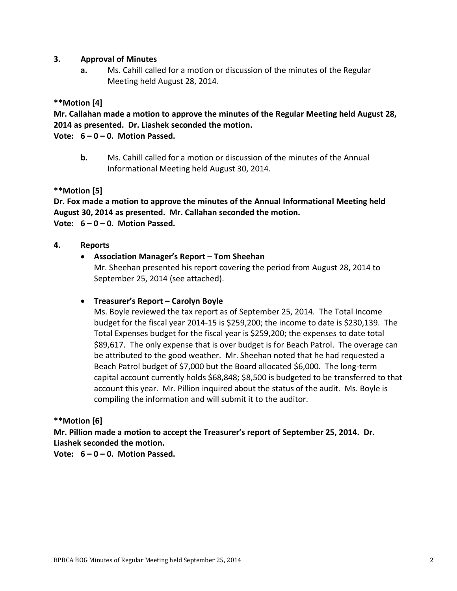# **3. Approval of Minutes**

**a.** Ms. Cahill called for a motion or discussion of the minutes of the Regular Meeting held August 28, 2014.

# **\*\*Motion [4]**

**Mr. Callahan made a motion to approve the minutes of the Regular Meeting held August 28, 2014 as presented. Dr. Liashek seconded the motion.**

**Vote: 6 – 0 – 0. Motion Passed.**

**b.** Ms. Cahill called for a motion or discussion of the minutes of the Annual Informational Meeting held August 30, 2014.

# **\*\*Motion [5]**

**Dr. Fox made a motion to approve the minutes of the Annual Informational Meeting held August 30, 2014 as presented. Mr. Callahan seconded the motion. Vote: 6 – 0 – 0. Motion Passed.**

# **4. Reports**

# **Association Manager's Report – Tom Sheehan**

Mr. Sheehan presented his report covering the period from August 28, 2014 to September 25, 2014 (see attached).

# **Treasurer's Report – Carolyn Boyle**

Ms. Boyle reviewed the tax report as of September 25, 2014. The Total Income budget for the fiscal year 2014-15 is \$259,200; the income to date is \$230,139. The Total Expenses budget for the fiscal year is \$259,200; the expenses to date total \$89,617. The only expense that is over budget is for Beach Patrol. The overage can be attributed to the good weather. Mr. Sheehan noted that he had requested a Beach Patrol budget of \$7,000 but the Board allocated \$6,000. The long-term capital account currently holds \$68,848; \$8,500 is budgeted to be transferred to that account this year. Mr. Pillion inquired about the status of the audit. Ms. Boyle is compiling the information and will submit it to the auditor.

# **\*\*Motion [6]**

**Mr. Pillion made a motion to accept the Treasurer's report of September 25, 2014. Dr. Liashek seconded the motion.**

**Vote: 6 – 0 – 0. Motion Passed.**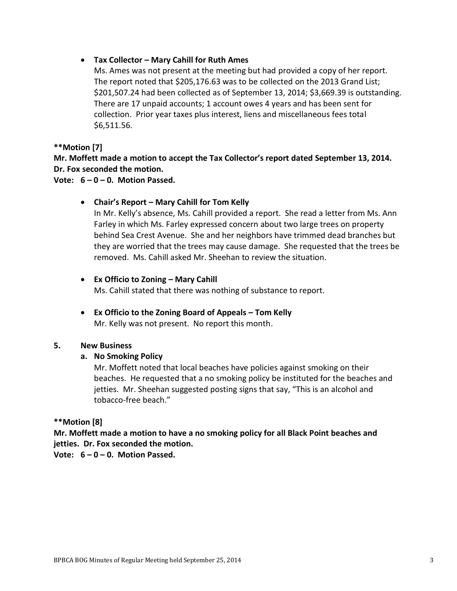# **Tax Collector – Mary Cahill for Ruth Ames**

Ms. Ames was not present at the meeting but had provided a copy of her report. The report noted that \$205,176.63 was to be collected on the 2013 Grand List; \$201,507.24 had been collected as of September 13, 2014; \$3,669.39 is outstanding. There are 17 unpaid accounts; 1 account owes 4 years and has been sent for collection. Prior year taxes plus interest, liens and miscellaneous fees total \$6,511.56.

# **\*\*Motion [7]**

**Mr. Moffett made a motion to accept the Tax Collector's report dated September 13, 2014. Dr. Fox seconded the motion.**

# **Vote: 6 – 0 – 0. Motion Passed.**

# **Chair's Report – Mary Cahill for Tom Kelly**

In Mr. Kelly's absence, Ms. Cahill provided a report. She read a letter from Ms. Ann Farley in which Ms. Farley expressed concern about two large trees on property behind Sea Crest Avenue. She and her neighbors have trimmed dead branches but they are worried that the trees may cause damage. She requested that the trees be removed. Ms. Cahill asked Mr. Sheehan to review the situation.

# **Ex Officio to Zoning – Mary Cahill**

Ms. Cahill stated that there was nothing of substance to report.

 **Ex Officio to the Zoning Board of Appeals – Tom Kelly** Mr. Kelly was not present. No report this month.

# **5. New Business**

# **a. No Smoking Policy**

Mr. Moffett noted that local beaches have policies against smoking on their beaches. He requested that a no smoking policy be instituted for the beaches and jetties. Mr. Sheehan suggested posting signs that say, "This is an alcohol and tobacco-free beach."

# **\*\*Motion [8]**

**Mr. Moffett made a motion to have a no smoking policy for all Black Point beaches and jetties. Dr. Fox seconded the motion.**

**Vote: 6 – 0 – 0. Motion Passed.**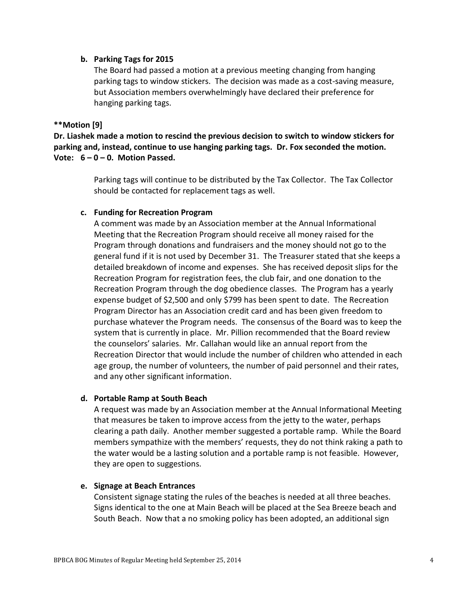### **b. Parking Tags for 2015**

The Board had passed a motion at a previous meeting changing from hanging parking tags to window stickers. The decision was made as a cost-saving measure, but Association members overwhelmingly have declared their preference for hanging parking tags.

### **\*\*Motion [9]**

**Dr. Liashek made a motion to rescind the previous decision to switch to window stickers for parking and, instead, continue to use hanging parking tags. Dr. Fox seconded the motion. Vote: 6 – 0 – 0. Motion Passed.**

> Parking tags will continue to be distributed by the Tax Collector. The Tax Collector should be contacted for replacement tags as well.

### **c. Funding for Recreation Program**

A comment was made by an Association member at the Annual Informational Meeting that the Recreation Program should receive all money raised for the Program through donations and fundraisers and the money should not go to the general fund if it is not used by December 31. The Treasurer stated that she keeps a detailed breakdown of income and expenses. She has received deposit slips for the Recreation Program for registration fees, the club fair, and one donation to the Recreation Program through the dog obedience classes. The Program has a yearly expense budget of \$2,500 and only \$799 has been spent to date. The Recreation Program Director has an Association credit card and has been given freedom to purchase whatever the Program needs. The consensus of the Board was to keep the system that is currently in place. Mr. Pillion recommended that the Board review the counselors' salaries. Mr. Callahan would like an annual report from the Recreation Director that would include the number of children who attended in each age group, the number of volunteers, the number of paid personnel and their rates, and any other significant information.

# **d. Portable Ramp at South Beach**

A request was made by an Association member at the Annual Informational Meeting that measures be taken to improve access from the jetty to the water, perhaps clearing a path daily. Another member suggested a portable ramp. While the Board members sympathize with the members' requests, they do not think raking a path to the water would be a lasting solution and a portable ramp is not feasible. However, they are open to suggestions.

#### **e. Signage at Beach Entrances**

Consistent signage stating the rules of the beaches is needed at all three beaches. Signs identical to the one at Main Beach will be placed at the Sea Breeze beach and South Beach. Now that a no smoking policy has been adopted, an additional sign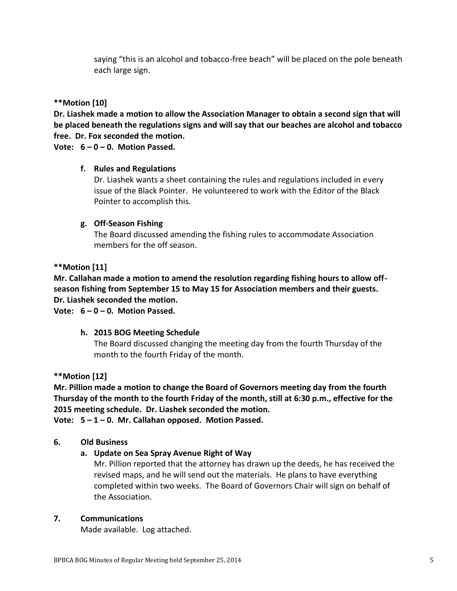saying "this is an alcohol and tobacco-free beach" will be placed on the pole beneath each large sign.

# **\*\*Motion [10]**

**Dr. Liashek made a motion to allow the Association Manager to obtain a second sign that will be placed beneath the regulations signs and will say that our beaches are alcohol and tobacco free. Dr. Fox seconded the motion.** 

**Vote: 6 – 0 – 0. Motion Passed.**

# **f. Rules and Regulations**

Dr. Liashek wants a sheet containing the rules and regulations included in every issue of the Black Pointer. He volunteered to work with the Editor of the Black Pointer to accomplish this.

# **g. Off-Season Fishing**

The Board discussed amending the fishing rules to accommodate Association members for the off season.

# **\*\*Motion [11]**

**Mr. Callahan made a motion to amend the resolution regarding fishing hours to allow offseason fishing from September 15 to May 15 for Association members and their guests. Dr. Liashek seconded the motion.** 

**Vote: 6 – 0 – 0. Motion Passed.**

# **h. 2015 BOG Meeting Schedule**

The Board discussed changing the meeting day from the fourth Thursday of the month to the fourth Friday of the month.

**\*\*Motion [12]**

**Mr. Pillion made a motion to change the Board of Governors meeting day from the fourth Thursday of the month to the fourth Friday of the month, still at 6:30 p.m., effective for the 2015 meeting schedule. Dr. Liashek seconded the motion.** 

**Vote: 5 – 1 – 0. Mr. Callahan opposed. Motion Passed.**

# **6. Old Business**

# **a. Update on Sea Spray Avenue Right of Way**

Mr. Pillion reported that the attorney has drawn up the deeds, he has received the revised maps, and he will send out the materials. He plans to have everything completed within two weeks. The Board of Governors Chair will sign on behalf of the Association.

#### **7. Communications**

Made available. Log attached.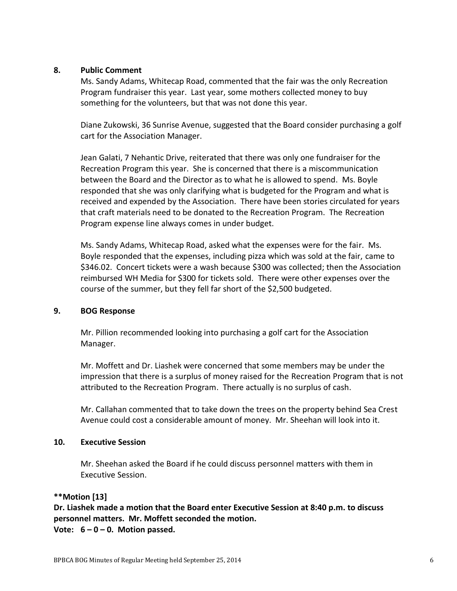#### **8. Public Comment**

Ms. Sandy Adams, Whitecap Road, commented that the fair was the only Recreation Program fundraiser this year. Last year, some mothers collected money to buy something for the volunteers, but that was not done this year.

Diane Zukowski, 36 Sunrise Avenue, suggested that the Board consider purchasing a golf cart for the Association Manager.

Jean Galati, 7 Nehantic Drive, reiterated that there was only one fundraiser for the Recreation Program this year. She is concerned that there is a miscommunication between the Board and the Director as to what he is allowed to spend. Ms. Boyle responded that she was only clarifying what is budgeted for the Program and what is received and expended by the Association. There have been stories circulated for years that craft materials need to be donated to the Recreation Program. The Recreation Program expense line always comes in under budget.

Ms. Sandy Adams, Whitecap Road, asked what the expenses were for the fair. Ms. Boyle responded that the expenses, including pizza which was sold at the fair, came to \$346.02. Concert tickets were a wash because \$300 was collected; then the Association reimbursed WH Media for \$300 for tickets sold. There were other expenses over the course of the summer, but they fell far short of the \$2,500 budgeted.

# **9. BOG Response**

Mr. Pillion recommended looking into purchasing a golf cart for the Association Manager.

Mr. Moffett and Dr. Liashek were concerned that some members may be under the impression that there is a surplus of money raised for the Recreation Program that is not attributed to the Recreation Program. There actually is no surplus of cash.

Mr. Callahan commented that to take down the trees on the property behind Sea Crest Avenue could cost a considerable amount of money. Mr. Sheehan will look into it.

# **10. Executive Session**

Mr. Sheehan asked the Board if he could discuss personnel matters with them in Executive Session.

# **\*\*Motion [13]**

**Dr. Liashek made a motion that the Board enter Executive Session at 8:40 p.m. to discuss personnel matters. Mr. Moffett seconded the motion. Vote: 6 – 0 – 0. Motion passed.**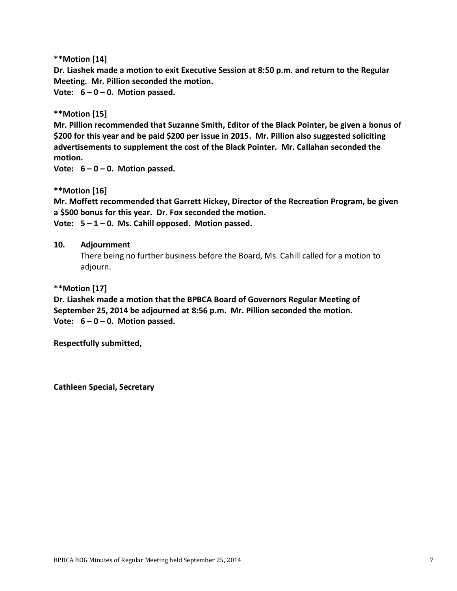**\*\*Motion [14]**

**Dr. Liashek made a motion to exit Executive Session at 8:50 p.m. and return to the Regular Meeting. Mr. Pillion seconded the motion.** 

**Vote: 6 – 0 – 0. Motion passed.**

**\*\*Motion [15]**

**Mr. Pillion recommended that Suzanne Smith, Editor of the Black Pointer, be given a bonus of \$200 for this year and be paid \$200 per issue in 2015. Mr. Pillion also suggested soliciting advertisements to supplement the cost of the Black Pointer. Mr. Callahan seconded the motion.**

**Vote: 6 – 0 – 0. Motion passed.**

**\*\*Motion [16]**

**Mr. Moffett recommended that Garrett Hickey, Director of the Recreation Program, be given a \$500 bonus for this year. Dr. Fox seconded the motion.**

**Vote: 5 – 1 – 0. Ms. Cahill opposed. Motion passed.**

#### **10. Adjournment**

There being no further business before the Board, Ms. Cahill called for a motion to adjourn.

**\*\*Motion [17]**

**Dr. Liashek made a motion that the BPBCA Board of Governors Regular Meeting of September 25, 2014 be adjourned at 8:56 p.m. Mr. Pillion seconded the motion. Vote: 6 – 0 – 0. Motion passed.**

**Respectfully submitted,**

**Cathleen Special, Secretary**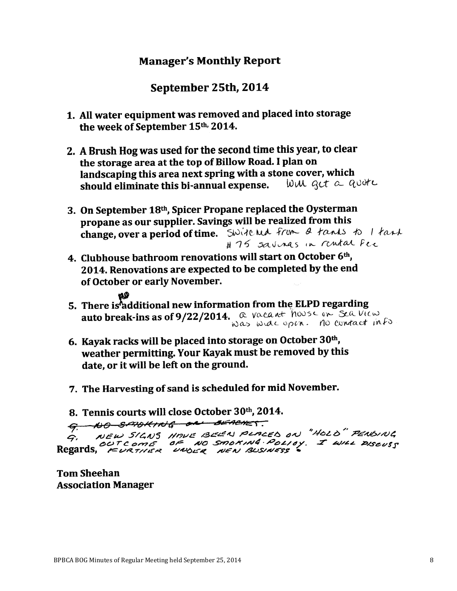# **Manager's Monthly Report**

# September 25th, 2014

- 1. All water equipment was removed and placed into storage the week of September 15th, 2014.
- 2. A Brush Hog was used for the second time this year, to clear the storage area at the top of Billow Road. I plan on landscaping this area next spring with a stone cover, which should eliminate this bi-annual expense. Will act a guere
- 3. On September 18th, Spicer Propane replaced the Oysterman propane as our supplier. Savings will be realized from this change, over a period of time. Switched from a tants to I tank # 75 savings in rental fee
- 4. Clubhouse bathroom renovations will start on October 6th, 2014. Renovations are expected to be completed by the end of October or early November.
- 5. There is additional new information from the ELPD regarding auto break-ins as of 9/22/2014.  $Q$  vacant house on Seq. View was wide open. No contact info
- 6. Kayak racks will be placed into storage on October 30th, weather permitting. Your Kayak must be removed by this date, or it will be left on the ground.
- 7. The Harvesting of sand is scheduled for mid November.
- 8. Tennis courts will close October 30th, 2014.

9. NO SMOKING ON BEACHET.

NEW SIGNS HAVE BEEN PLACED ON "HOLD" PENDING G, G, NEW SIGNS MINDLE BLESS INCREDING TO CONCORS

**Tom Sheehan Association Manager**